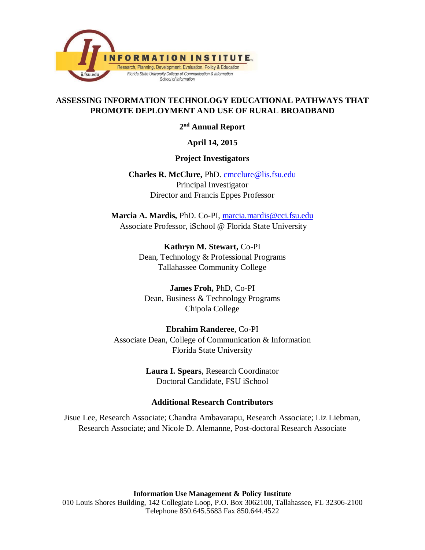

#### **ASSESSING INFORMATION TECHNOLOGY EDUCATIONAL PATHWAYS THAT PROMOTE DEPLOYMENT AND USE OF RURAL BROADBAND**

**2nd Annual Report**

#### **April 14, 2015**

#### **Project Investigators**

**Charles R. McClure,** PhD. [cmcclure@lis.fsu.edu](mailto:cmcclure@lis.fsu.edu) Principal Investigator Director and Francis Eppes Professor

**Marcia A. Mardis,** PhD. Co-PI, [marcia.mardis@cci.fsu.edu](mailto:marcia.mardis@cci.fsu.edu) Associate Professor, iSchool @ Florida State University

> **Kathryn M. Stewart,** Co-PI Dean, Technology & Professional Programs Tallahassee Community College

**James Froh,** PhD, Co-PI Dean, Business & Technology Programs Chipola College

# **Ebrahim Randeree**, Co-PI

Associate Dean, College of Communication & Information Florida State University

> **Laura I. Spears**, Research Coordinator Doctoral Candidate, FSU iSchool

#### **Additional Research Contributors**

Jisue Lee, Research Associate; Chandra Ambavarapu, Research Associate; Liz Liebman, Research Associate; and Nicole D. Alemanne, Post-doctoral Research Associate

**Information Use Management & Policy Institute** 010 Louis Shores Building, 142 Collegiate Loop, P.O. Box 3062100, Tallahassee, FL 32306-2100 Telephone 850.645.5683 Fax 850.644.4522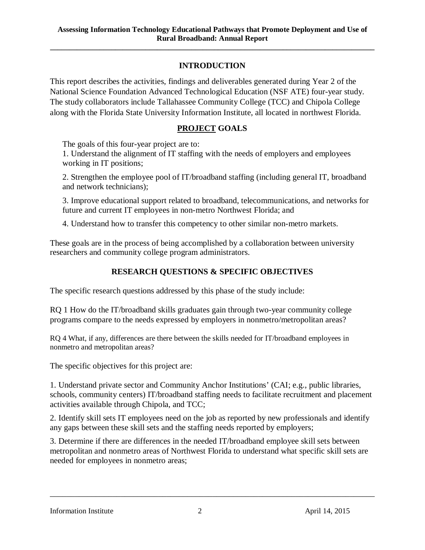### **INTRODUCTION**

**\_\_\_\_\_\_\_\_\_\_\_\_\_\_\_\_\_\_\_\_\_\_\_\_\_\_\_\_\_\_\_\_\_\_\_\_\_\_\_\_\_\_\_\_\_\_\_\_\_\_\_\_\_\_\_\_\_\_\_\_\_\_\_\_\_\_\_\_\_\_\_\_\_\_\_\_\_\_\_\_\_\_\_\_\_**

This report describes the activities, findings and deliverables generated during Year 2 of the National Science Foundation Advanced Technological Education (NSF ATE) four-year study. The study collaborators include Tallahassee Community College (TCC) and Chipola College along with the Florida State University Information Institute, all located in northwest Florida.

### **PROJECT GOALS**

The goals of this four-year project are to:

1. Understand the alignment of IT staffing with the needs of employers and employees working in IT positions;

2. Strengthen the employee pool of IT/broadband staffing (including general IT, broadband and network technicians);

3. Improve educational support related to broadband, telecommunications, and networks for future and current IT employees in non-metro Northwest Florida; and

4. Understand how to transfer this competency to other similar non-metro markets.

These goals are in the process of being accomplished by a collaboration between university researchers and community college program administrators.

#### **RESEARCH QUESTIONS & SPECIFIC OBJECTIVES**

The specific research questions addressed by this phase of the study include:

RQ 1 How do the IT/broadband skills graduates gain through two-year community college programs compare to the needs expressed by employers in nonmetro/metropolitan areas?

RQ 4 What, if any, differences are there between the skills needed for IT/broadband employees in nonmetro and metropolitan areas?

The specific objectives for this project are:

1. Understand private sector and Community Anchor Institutions' (CAI; e.g., public libraries, schools, community centers) IT/broadband staffing needs to facilitate recruitment and placement activities available through Chipola, and TCC;

2. Identify skill sets IT employees need on the job as reported by new professionals and identify any gaps between these skill sets and the staffing needs reported by employers;

3. Determine if there are differences in the needed IT/broadband employee skill sets between metropolitan and nonmetro areas of Northwest Florida to understand what specific skill sets are needed for employees in nonmetro areas;

\_\_\_\_\_\_\_\_\_\_\_\_\_\_\_\_\_\_\_\_\_\_\_\_\_\_\_\_\_\_\_\_\_\_\_\_\_\_\_\_\_\_\_\_\_\_\_\_\_\_\_\_\_\_\_\_\_\_\_\_\_\_\_\_\_\_\_\_\_\_\_\_\_\_\_\_\_\_

Information Institute 2 2 April 14, 2015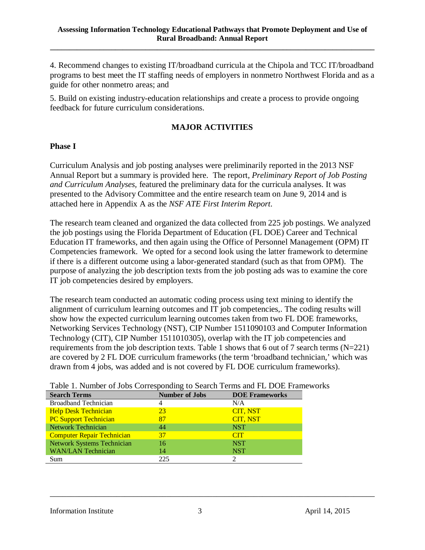4. Recommend changes to existing IT/broadband curricula at the Chipola and TCC IT/broadband programs to best meet the IT staffing needs of employers in nonmetro Northwest Florida and as a guide for other nonmetro areas; and

5. Build on existing industry-education relationships and create a process to provide ongoing feedback for future curriculum considerations.

### **MAJOR ACTIVITIES**

#### **Phase I**

Curriculum Analysis and job posting analyses were preliminarily reported in the 2013 NSF Annual Report but a summary is provided here. The report, *Preliminary Report of Job Posting and Curriculum Analyses,* featured the preliminary data for the curricula analyses. It was presented to the Advisory Committee and the entire research team on June 9, 2014 and is attached here in Appendix A as the *NSF ATE First Interim Report*.

The research team cleaned and organized the data collected from 225 job postings. We analyzed the job postings using the Florida Department of Education (FL DOE) Career and Technical Education IT frameworks, and then again using the Office of Personnel Management (OPM) IT Competencies framework. We opted for a second look using the latter framework to determine if there is a different outcome using a labor-generated standard (such as that from OPM). The purpose of analyzing the job description texts from the job posting ads was to examine the core IT job competencies desired by employers.

The research team conducted an automatic coding process using text mining to identify the alignment of curriculum learning outcomes and IT job competencies,. The coding results will show how the expected curriculum learning outcomes taken from two FL DOE frameworks, Networking Services Technology (NST), CIP Number 1511090103 and Computer Information Technology (CIT), CIP Number 1511010305), overlap with the IT job competencies and requirements from the job description texts. Table 1 shows that 6 out of 7 search terms (N=221) are covered by 2 FL DOE curriculum frameworks (the term 'broadband technician,' which was drawn from 4 jobs, was added and is not covered by FL DOE curriculum frameworks).

| Table 1. Number of Jobs Corresponding to Search Terms and FL DOE Framewo |                       |                       |  |  |  |
|--------------------------------------------------------------------------|-----------------------|-----------------------|--|--|--|
| <b>Search Terms</b>                                                      | <b>Number of Jobs</b> | <b>DOE Frameworks</b> |  |  |  |
| <b>Broadband Technician</b>                                              |                       | N/A                   |  |  |  |
| <b>Help Desk Technician</b>                                              | 23                    | CIT, NST              |  |  |  |
| <b>PC Support Technician</b>                                             | 87                    | <b>CIT, NST</b>       |  |  |  |
| <b>Network Technician</b>                                                | 44                    | <b>NST</b>            |  |  |  |
| <b>Computer Repair Technician</b>                                        | 37                    | <b>CIT</b>            |  |  |  |
| <b>Network Systems Technician</b>                                        | 16                    | <b>NST</b>            |  |  |  |
| <b>WAN/LAN Technician</b>                                                | 14                    | <b>NST</b>            |  |  |  |
| Sum                                                                      | 225                   | $\mathcal{D}_{\cdot}$ |  |  |  |

## Table 1. Number of Jobs Corresponding to Search Terms and FL DOE Frameworks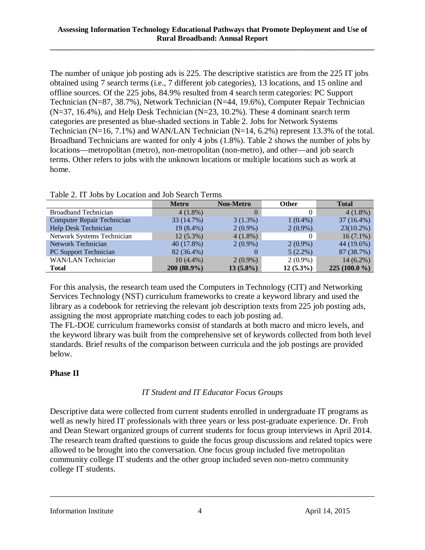The number of unique job posting ads is 225. The descriptive statistics are from the 225 IT jobs obtained using 7 search terms (i.e., 7 different job categories), 13 locations, and 15 online and offline sources. Of the 225 jobs, 84.9% resulted from 4 search term categories: PC Support Technician (N=87, 38.7%), Network Technician (N=44, 19.6%), Computer Repair Technician  $(N=37, 16.4\%)$ , and Help Desk Technician  $(N=23, 10.2\%)$ . These 4 dominant search term categories are presented as blue-shaded sections in Table 2. Jobs for Network Systems Technician (N=16, 7.1%) and WAN/LAN Technician (N=14, 6.2%) represent 13.3% of the total. Broadband Technicians are wanted for only 4 jobs (1.8%). Table 2 shows the number of jobs by locations—metropolitan (metro), non-metropolitan (non-metro), and other—and job search terms. Other refers to jobs with the unknown locations or multiple locations such as work at home.

|                            | <b>Metro</b> | <b>Non-Metro</b> | <b>Other</b> | <b>Total</b>   |
|----------------------------|--------------|------------------|--------------|----------------|
| Broadband Technician       | $4(1.8\%)$   |                  | $\Omega$     | $4(1.8\%)$     |
| Computer Repair Technician | 33 (14.7%)   | 3(1.3%)          | $1(0.4\%)$   | $37(16.4\%)$   |
| Help Desk Technician       | 19 (8.4%)    | $2(0.9\%)$       | $2(0.9\%)$   | $23(10.2\%)$   |
| Network Systems Technician | $12(5.3\%)$  | $4(1.8\%)$       |              | $16(7.1\%)$    |
| Network Technician         | 40 (17.8%)   | $2(0.9\%)$       | $2(0.9\%)$   | 44 (19.6%)     |
| PC Support Technician      | 82 (36.4%)   |                  | $5(2.2\%)$   | 87 (38.7%)     |
| <b>WAN/LAN Technician</b>  | $10(4.4\%)$  | $2(0.9\%)$       | $2(0.9\%)$   | $14(6.2\%)$    |
| <b>Total</b>               | 200 (88.9%)  | $13(5.8\%)$      | $12(5.3\%)$  | $225(100.0\%)$ |

Table 2. IT Jobs by Location and Job Search Terms

For this analysis, the research team used the Computers in Technology (CIT) and Networking Services Technology (NST) curriculum frameworks to create a keyword library and used the library as a codebook for retrieving the relevant job description texts from 225 job posting ads, assigning the most appropriate matching codes to each job posting ad.

The FL-DOE curriculum frameworks consist of standards at both macro and micro levels, and the keyword library was built from the comprehensive set of keywords collected from both level standards. Brief results of the comparison between curricula and the job postings are provided below.

### **Phase II**

## *IT Student and IT Educator Focus Groups*

Descriptive data were collected from current students enrolled in undergraduate IT programs as well as newly hired IT professionals with three years or less post-graduate experience. Dr. Froh and Dean Stewart organized groups of current students for focus group interviews in April 2014. The research team drafted questions to guide the focus group discussions and related topics were allowed to be brought into the conversation. One focus group included five metropolitan community college IT students and the other group included seven non-metro community college IT students.

\_\_\_\_\_\_\_\_\_\_\_\_\_\_\_\_\_\_\_\_\_\_\_\_\_\_\_\_\_\_\_\_\_\_\_\_\_\_\_\_\_\_\_\_\_\_\_\_\_\_\_\_\_\_\_\_\_\_\_\_\_\_\_\_\_\_\_\_\_\_\_\_\_\_\_\_\_\_

Information Institute 4 April 14, 2015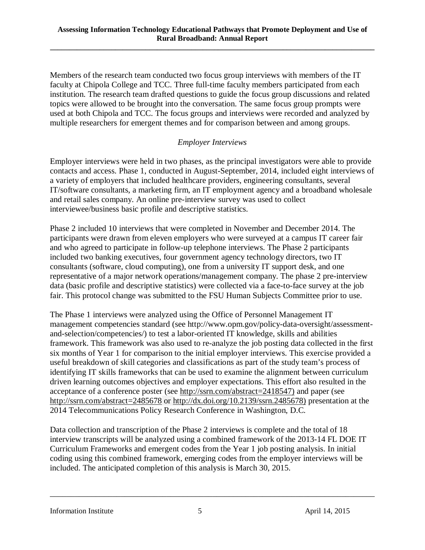Members of the research team conducted two focus group interviews with members of the IT faculty at Chipola College and TCC. Three full-time faculty members participated from each institution. The research team drafted questions to guide the focus group discussions and related topics were allowed to be brought into the conversation. The same focus group prompts were used at both Chipola and TCC. The focus groups and interviews were recorded and analyzed by multiple researchers for emergent themes and for comparison between and among groups.

#### *Employer Interviews*

Employer interviews were held in two phases, as the principal investigators were able to provide contacts and access. Phase 1, conducted in August-September, 2014, included eight interviews of a variety of employers that included healthcare providers, engineering consultants, several IT/software consultants, a marketing firm, an IT employment agency and a broadband wholesale and retail sales company. An online pre-interview survey was used to collect interviewee/business basic profile and descriptive statistics.

Phase 2 included 10 interviews that were completed in November and December 2014. The participants were drawn from eleven employers who were surveyed at a campus IT career fair and who agreed to participate in follow-up telephone interviews. The Phase 2 participants included two banking executives, four government agency technology directors, two IT consultants (software, cloud computing), one from a university IT support desk, and one representative of a major network operations/management company. The phase 2 pre-interview data (basic profile and descriptive statistics) were collected via a face-to-face survey at the job fair. This protocol change was submitted to the FSU Human Subjects Committee prior to use.

The Phase 1 interviews were analyzed using the Office of Personnel Management IT management competencies standard (see http://www.opm.gov/policy-data-oversight/assessmentand-selection/competencies/) to test a labor-oriented IT knowledge, skills and abilities framework. This framework was also used to re-analyze the job posting data collected in the first six months of Year 1 for comparison to the initial employer interviews. This exercise provided a useful breakdown of skill categories and classifications as part of the study team's process of identifying IT skills frameworks that can be used to examine the alignment between curriculum driven learning outcomes objectives and employer expectations. This effort also resulted in the acceptance of a conference poster (see [http://ssrn.com/abstract=2418547\)](http://ssrn.com/abstract=2418547) and paper (see <http://ssrn.com/abstract=2485678> or [http://dx.doi.org/10.2139/ssrn.2485678\)](http://dx.doi.org/10.2139/ssrn.2485678) presentation at the 2014 Telecommunications Policy Research Conference in Washington, D.C.

Data collection and transcription of the Phase 2 interviews is complete and the total of 18 interview transcripts will be analyzed using a combined framework of the 2013-14 FL DOE IT Curriculum Frameworks and emergent codes from the Year 1 job posting analysis. In initial coding using this combined framework, emerging codes from the employer interviews will be included. The anticipated completion of this analysis is March 30, 2015.

\_\_\_\_\_\_\_\_\_\_\_\_\_\_\_\_\_\_\_\_\_\_\_\_\_\_\_\_\_\_\_\_\_\_\_\_\_\_\_\_\_\_\_\_\_\_\_\_\_\_\_\_\_\_\_\_\_\_\_\_\_\_\_\_\_\_\_\_\_\_\_\_\_\_\_\_\_\_

Information Institute 5 5 April 14, 2015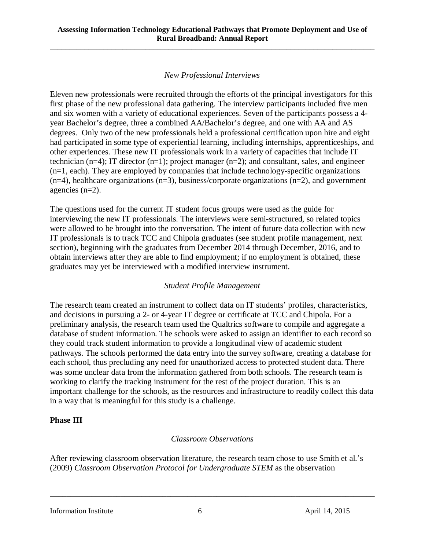### *New Professional Interviews*

Eleven new professionals were recruited through the efforts of the principal investigators for this first phase of the new professional data gathering. The interview participants included five men and six women with a variety of educational experiences. Seven of the participants possess a 4 year Bachelor's degree, three a combined AA/Bachelor's degree, and one with AA and AS degrees. Only two of the new professionals held a professional certification upon hire and eight had participated in some type of experiential learning, including internships, apprenticeships, and other experiences. These new IT professionals work in a variety of capacities that include IT technician (n=4); IT director (n=1); project manager (n=2); and consultant, sales, and engineer (n=1, each). They are employed by companies that include technology-specific organizations  $(n=4)$ , healthcare organizations  $(n=3)$ , business/corporate organizations  $(n=2)$ , and government agencies (n=2).

The questions used for the current IT student focus groups were used as the guide for interviewing the new IT professionals. The interviews were semi-structured, so related topics were allowed to be brought into the conversation. The intent of future data collection with new IT professionals is to track TCC and Chipola graduates (see student profile management, next section), beginning with the graduates from December 2014 through December, 2016, and to obtain interviews after they are able to find employment; if no employment is obtained, these graduates may yet be interviewed with a modified interview instrument.

#### *Student Profile Management*

The research team created an instrument to collect data on IT students' profiles, characteristics, and decisions in pursuing a 2- or 4-year IT degree or certificate at TCC and Chipola. For a preliminary analysis, the research team used the Qualtrics software to compile and aggregate a database of student information. The schools were asked to assign an identifier to each record so they could track student information to provide a longitudinal view of academic student pathways. The schools performed the data entry into the survey software, creating a database for each school, thus precluding any need for unauthorized access to protected student data. There was some unclear data from the information gathered from both schools. The research team is working to clarify the tracking instrument for the rest of the project duration. This is an important challenge for the schools, as the resources and infrastructure to readily collect this data in a way that is meaningful for this study is a challenge.

#### **Phase III**

### *Classroom Observations*

After reviewing classroom observation literature, the research team chose to use Smith et al.'s (2009) *Classroom Observation Protocol for Undergraduate STEM* as the observation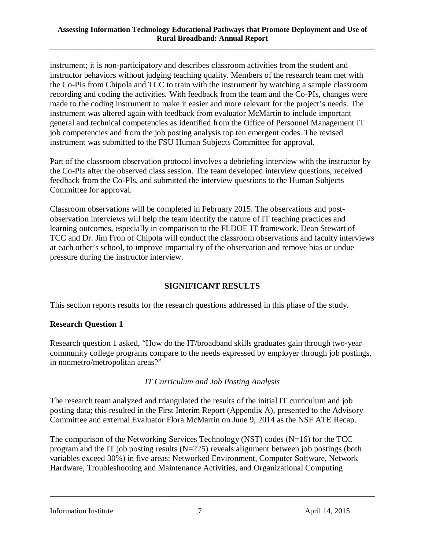instrument; it is non-participatory and describes classroom activities from the student and instructor behaviors without judging teaching quality. Members of the research team met with the Co-PIs from Chipola and TCC to train with the instrument by watching a sample classroom recording and coding the activities. With feedback from the team and the Co-PIs, changes were made to the coding instrument to make it easier and more relevant for the project's needs. The instrument was altered again with feedback from evaluator McMartin to include important general and technical competencies as identified from the Office of Personnel Management IT job competencies and from the job posting analysis top ten emergent codes. The revised instrument was submitted to the FSU Human Subjects Committee for approval.

Part of the classroom observation protocol involves a debriefing interview with the instructor by the Co-PIs after the observed class session. The team developed interview questions, received feedback from the Co-PIs, and submitted the interview questions to the Human Subjects Committee for approval.

Classroom observations will be completed in February 2015. The observations and postobservation interviews will help the team identify the nature of IT teaching practices and learning outcomes, especially in comparison to the FLDOE IT framework. Dean Stewart of TCC and Dr. Jim Froh of Chipola will conduct the classroom observations and faculty interviews at each other's school, to improve impartiality of the observation and remove bias or undue pressure during the instructor interview.

### **SIGNIFICANT RESULTS**

This section reports results for the research questions addressed in this phase of the study.

### **Research Question 1**

Research question 1 asked, "How do the IT/broadband skills graduates gain through two-year community college programs compare to the needs expressed by employer through job postings, in nonmetro/metropolitan areas?"

### *IT Curriculum and Job Posting Analysis*

The research team analyzed and triangulated the results of the initial IT curriculum and job posting data; this resulted in the First Interim Report (Appendix A), presented to the Advisory Committee and external Evaluator Flora McMartin on June 9, 2014 as the NSF ATE Recap.

The comparison of the Networking Services Technology (NST) codes (N=16) for the TCC program and the IT job posting results (N=225) reveals alignment between job postings (both variables exceed 30%) in five areas: Networked Environment, Computer Software, Network Hardware, Troubleshooting and Maintenance Activities, and Organizational Computing

\_\_\_\_\_\_\_\_\_\_\_\_\_\_\_\_\_\_\_\_\_\_\_\_\_\_\_\_\_\_\_\_\_\_\_\_\_\_\_\_\_\_\_\_\_\_\_\_\_\_\_\_\_\_\_\_\_\_\_\_\_\_\_\_\_\_\_\_\_\_\_\_\_\_\_\_\_\_

Information Institute 7 and 7 April 14, 2015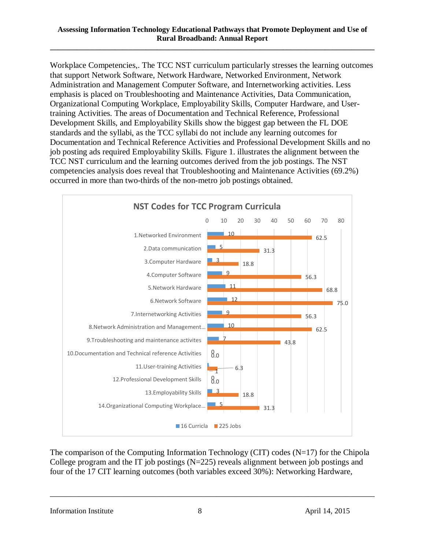Workplace Competencies,. The TCC NST curriculum particularly stresses the learning outcomes that support Network Software, Network Hardware, Networked Environment, Network Administration and Management Computer Software, and Internetworking activities. Less emphasis is placed on Troubleshooting and Maintenance Activities, Data Communication, Organizational Computing Workplace, Employability Skills, Computer Hardware, and Usertraining Activities. The areas of Documentation and Technical Reference, Professional Development Skills, and Employability Skills show the biggest gap between the FL DOE standards and the syllabi, as the TCC syllabi do not include any learning outcomes for Documentation and Technical Reference Activities and Professional Development Skills and no job posting ads required Employability Skills. Figure 1. illustrates the alignment between the TCC NST curriculum and the learning outcomes derived from the job postings. The NST competencies analysis does reveal that Troubleshooting and Maintenance Activities (69.2%) occurred in more than two-thirds of the non-metro job postings obtained.



The comparison of the Computing Information Technology (CIT) codes (N=17) for the Chipola College program and the IT job postings (N=225) reveals alignment between job postings and four of the 17 CIT learning outcomes (both variables exceed 30%): Networking Hardware,

\_\_\_\_\_\_\_\_\_\_\_\_\_\_\_\_\_\_\_\_\_\_\_\_\_\_\_\_\_\_\_\_\_\_\_\_\_\_\_\_\_\_\_\_\_\_\_\_\_\_\_\_\_\_\_\_\_\_\_\_\_\_\_\_\_\_\_\_\_\_\_\_\_\_\_\_\_\_

Information Institute 8 8 April 14, 2015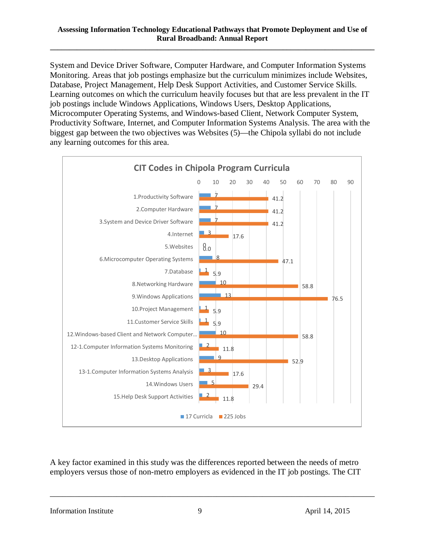System and Device Driver Software, Computer Hardware, and Computer Information Systems Monitoring. Areas that job postings emphasize but the curriculum minimizes include Websites, Database, Project Management, Help Desk Support Activities, and Customer Service Skills. Learning outcomes on which the curriculum heavily focuses but that are less prevalent in the IT job postings include Windows Applications, Windows Users, Desktop Applications, Microcomputer Operating Systems, and Windows-based Client, Network Computer System, Productivity Software, Internet, and Computer Information Systems Analysis. The area with the biggest gap between the two objectives was Websites (5)—the Chipola syllabi do not include any learning outcomes for this area.



A key factor examined in this study was the differences reported between the needs of metro employers versus those of non-metro employers as evidenced in the IT job postings. The CIT

\_\_\_\_\_\_\_\_\_\_\_\_\_\_\_\_\_\_\_\_\_\_\_\_\_\_\_\_\_\_\_\_\_\_\_\_\_\_\_\_\_\_\_\_\_\_\_\_\_\_\_\_\_\_\_\_\_\_\_\_\_\_\_\_\_\_\_\_\_\_\_\_\_\_\_\_\_\_

Information Institute 9 9 April 14, 2015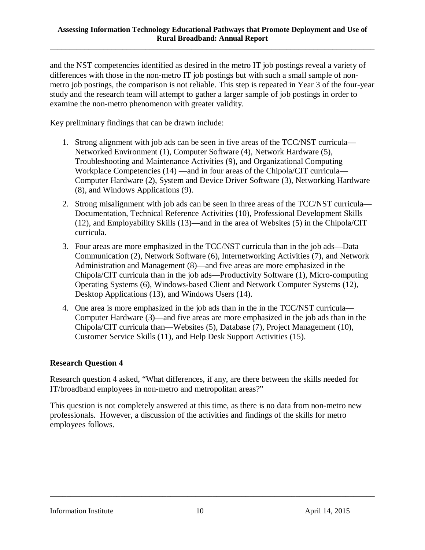and the NST competencies identified as desired in the metro IT job postings reveal a variety of differences with those in the non-metro IT job postings but with such a small sample of nonmetro job postings, the comparison is not reliable. This step is repeated in Year 3 of the four-year study and the research team will attempt to gather a larger sample of job postings in order to examine the non-metro phenomenon with greater validity.

Key preliminary findings that can be drawn include:

- 1. Strong alignment with job ads can be seen in five areas of the TCC/NST curricula— Networked Environment (1), Computer Software (4), Network Hardware (5), Troubleshooting and Maintenance Activities (9), and Organizational Computing Workplace Competencies (14) —and in four areas of the Chipola/CIT curricula— Computer Hardware (2), System and Device Driver Software (3), Networking Hardware (8), and Windows Applications (9).
- 2. Strong misalignment with job ads can be seen in three areas of the TCC/NST curricula— Documentation, Technical Reference Activities (10), Professional Development Skills (12), and Employability Skills (13)—and in the area of Websites (5) in the Chipola/CIT curricula.
- 3. Four areas are more emphasized in the TCC/NST curricula than in the job ads—Data Communication (2), Network Software (6), Internetworking Activities (7), and Network Administration and Management (8)—and five areas are more emphasized in the Chipola/CIT curricula than in the job ads—Productivity Software (1), Micro-computing Operating Systems (6), Windows-based Client and Network Computer Systems (12), Desktop Applications (13), and Windows Users (14).
- 4. One area is more emphasized in the job ads than in the in the TCC/NST curricula— Computer Hardware (3)—and five areas are more emphasized in the job ads than in the Chipola/CIT curricula than—Websites (5), Database (7), Project Management (10), Customer Service Skills (11), and Help Desk Support Activities (15).

#### **Research Question 4**

Research question 4 asked, "What differences, if any, are there between the skills needed for IT/broadband employees in non-metro and metropolitan areas?"

This question is not completely answered at this time, as there is no data from non-metro new professionals. However, a discussion of the activities and findings of the skills for metro employees follows.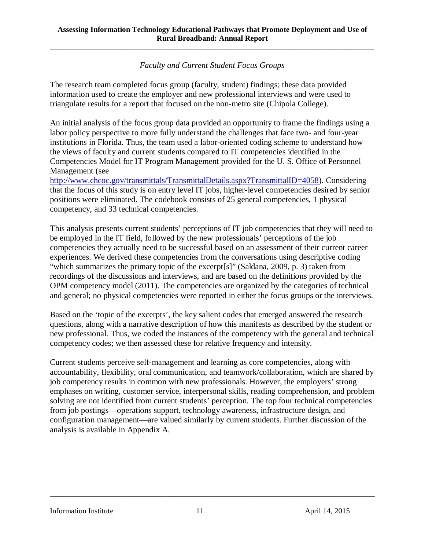*Faculty and Current Student Focus Groups*

**\_\_\_\_\_\_\_\_\_\_\_\_\_\_\_\_\_\_\_\_\_\_\_\_\_\_\_\_\_\_\_\_\_\_\_\_\_\_\_\_\_\_\_\_\_\_\_\_\_\_\_\_\_\_\_\_\_\_\_\_\_\_\_\_\_\_\_\_\_\_\_\_\_\_\_\_\_\_\_\_\_\_\_\_\_**

The research team completed focus group (faculty, student) findings; these data provided information used to create the employer and new professional interviews and were used to triangulate results for a report that focused on the non-metro site (Chipola College).

An initial analysis of the focus group data provided an opportunity to frame the findings using a labor policy perspective to more fully understand the challenges that face two- and four-year institutions in Florida. Thus, the team used a labor-oriented coding scheme to understand how the views of faculty and current students compared to IT competencies identified in the Competencies Model for IT Program Management provided for the U. S. Office of Personnel Management (see

[http://www.chcoc.gov/transmittals/TransmittalDetails.aspx?TransmittalID=4058\)](http://www.chcoc.gov/transmittals/TransmittalDetails.aspx?TransmittalID=4058). Considering that the focus of this study is on entry level IT jobs, higher-level competencies desired by senior positions were eliminated. The codebook consists of 25 general competencies, 1 physical competency, and 33 technical competencies.

This analysis presents current students' perceptions of IT job competencies that they will need to be employed in the IT field, followed by the new professionals' perceptions of the job competencies they actually need to be successful based on an assessment of their current career experiences. We derived these competencies from the conversations using descriptive coding "which summarizes the primary topic of the excerpt[s]" (Saldana, 2009, p. 3) taken from recordings of the discussions and interviews, and are based on the definitions provided by the OPM competency model (2011). The competencies are organized by the categories of technical and general; no physical competencies were reported in either the focus groups or the interviews.

Based on the 'topic of the excerpts', the key salient codes that emerged answered the research questions, along with a narrative description of how this manifests as described by the student or new professional. Thus, we coded the instances of the competency with the general and technical competency codes; we then assessed these for relative frequency and intensity.

Current students perceive self-management and learning as core competencies, along with accountability, flexibility, oral communication, and teamwork/collaboration, which are shared by job competency results in common with new professionals. However, the employers' strong emphases on writing, customer service, interpersonal skills, reading comprehension, and problem solving are not identified from current students' perception. The top four technical competencies from job postings—operations support, technology awareness, infrastructure design, and configuration management—are valued similarly by current students. Further discussion of the analysis is available in Appendix A.

Information Institute 11 April 14, 2015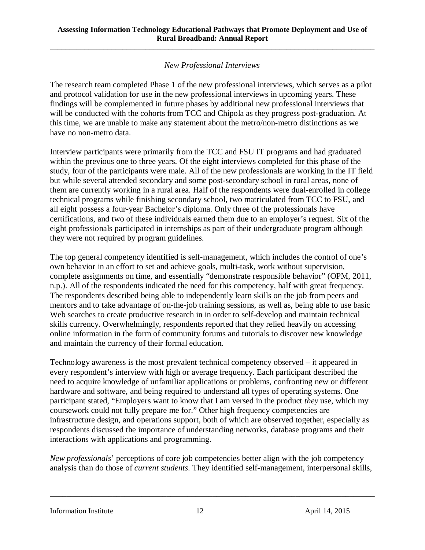### *New Professional Interviews*

**\_\_\_\_\_\_\_\_\_\_\_\_\_\_\_\_\_\_\_\_\_\_\_\_\_\_\_\_\_\_\_\_\_\_\_\_\_\_\_\_\_\_\_\_\_\_\_\_\_\_\_\_\_\_\_\_\_\_\_\_\_\_\_\_\_\_\_\_\_\_\_\_\_\_\_\_\_\_\_\_\_\_\_\_\_**

The research team completed Phase 1 of the new professional interviews, which serves as a pilot and protocol validation for use in the new professional interviews in upcoming years. These findings will be complemented in future phases by additional new professional interviews that will be conducted with the cohorts from TCC and Chipola as they progress post-graduation. At this time, we are unable to make any statement about the metro/non-metro distinctions as we have no non-metro data.

Interview participants were primarily from the TCC and FSU IT programs and had graduated within the previous one to three years. Of the eight interviews completed for this phase of the study, four of the participants were male. All of the new professionals are working in the IT field but while several attended secondary and some post-secondary school in rural areas, none of them are currently working in a rural area. Half of the respondents were dual-enrolled in college technical programs while finishing secondary school, two matriculated from TCC to FSU, and all eight possess a four-year Bachelor's diploma. Only three of the professionals have certifications, and two of these individuals earned them due to an employer's request. Six of the eight professionals participated in internships as part of their undergraduate program although they were not required by program guidelines.

The top general competency identified is self-management, which includes the control of one's own behavior in an effort to set and achieve goals, multi-task, work without supervision, complete assignments on time, and essentially "demonstrate responsible behavior" (OPM, 2011, n.p.). All of the respondents indicated the need for this competency, half with great frequency. The respondents described being able to independently learn skills on the job from peers and mentors and to take advantage of on-the-job training sessions, as well as, being able to use basic Web searches to create productive research in in order to self-develop and maintain technical skills currency. Overwhelmingly, respondents reported that they relied heavily on accessing online information in the form of community forums and tutorials to discover new knowledge and maintain the currency of their formal education.

Technology awareness is the most prevalent technical competency observed – it appeared in every respondent's interview with high or average frequency. Each participant described the need to acquire knowledge of unfamiliar applications or problems, confronting new or different hardware and software, and being required to understand all types of operating systems. One participant stated, "Employers want to know that I am versed in the product *they* use, which my coursework could not fully prepare me for." Other high frequency competencies are infrastructure design, and operations support, both of which are observed together, especially as respondents discussed the importance of understanding networks, database programs and their interactions with applications and programming.

*New professionals*' perceptions of core job competencies better align with the job competency analysis than do those of *current students*. They identified self-management, interpersonal skills,

\_\_\_\_\_\_\_\_\_\_\_\_\_\_\_\_\_\_\_\_\_\_\_\_\_\_\_\_\_\_\_\_\_\_\_\_\_\_\_\_\_\_\_\_\_\_\_\_\_\_\_\_\_\_\_\_\_\_\_\_\_\_\_\_\_\_\_\_\_\_\_\_\_\_\_\_\_\_

Information Institute 12 April 14, 2015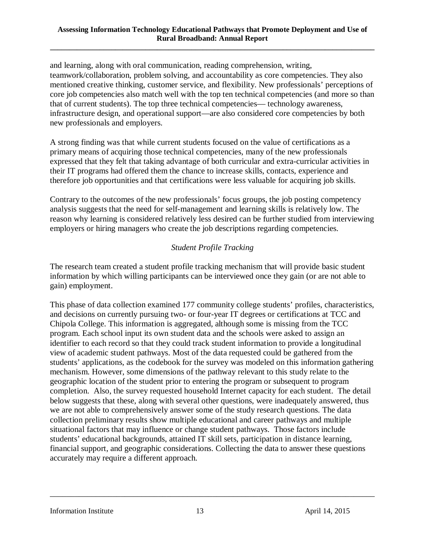and learning, along with oral communication, reading comprehension, writing, teamwork/collaboration, problem solving, and accountability as core competencies. They also mentioned creative thinking, customer service, and flexibility. New professionals' perceptions of core job competencies also match well with the top ten technical competencies (and more so than that of current students). The top three technical competencies— technology awareness, infrastructure design, and operational support—are also considered core competencies by both new professionals and employers.

A strong finding was that while current students focused on the value of certifications as a primary means of acquiring those technical competencies, many of the new professionals expressed that they felt that taking advantage of both curricular and extra-curricular activities in their IT programs had offered them the chance to increase skills, contacts, experience and therefore job opportunities and that certifications were less valuable for acquiring job skills.

Contrary to the outcomes of the new professionals' focus groups, the job posting competency analysis suggests that the need for self-management and learning skills is relatively low. The reason why learning is considered relatively less desired can be further studied from interviewing employers or hiring managers who create the job descriptions regarding competencies.

### *Student Profile Tracking*

The research team created a student profile tracking mechanism that will provide basic student information by which willing participants can be interviewed once they gain (or are not able to gain) employment.

This phase of data collection examined 177 community college students' profiles, characteristics, and decisions on currently pursuing two- or four-year IT degrees or certifications at TCC and Chipola College. This information is aggregated, although some is missing from the TCC program. Each school input its own student data and the schools were asked to assign an identifier to each record so that they could track student information to provide a longitudinal view of academic student pathways. Most of the data requested could be gathered from the students' applications, as the codebook for the survey was modeled on this information gathering mechanism. However, some dimensions of the pathway relevant to this study relate to the geographic location of the student prior to entering the program or subsequent to program completion. Also, the survey requested household Internet capacity for each student. The detail below suggests that these, along with several other questions, were inadequately answered, thus we are not able to comprehensively answer some of the study research questions. The data collection preliminary results show multiple educational and career pathways and multiple situational factors that may influence or change student pathways. Those factors include students' educational backgrounds, attained IT skill sets, participation in distance learning, financial support, and geographic considerations. Collecting the data to answer these questions accurately may require a different approach.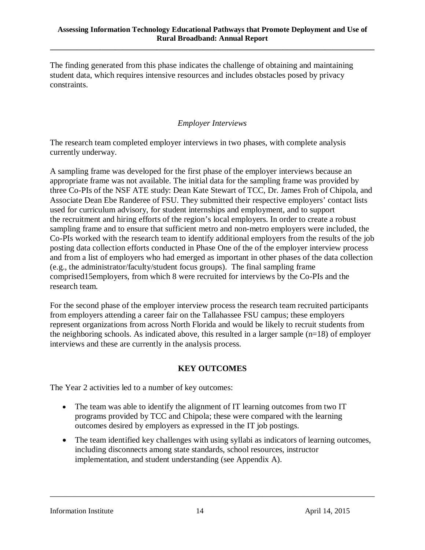The finding generated from this phase indicates the challenge of obtaining and maintaining student data, which requires intensive resources and includes obstacles posed by privacy constraints.

#### *Employer Interviews*

The research team completed employer interviews in two phases, with complete analysis currently underway.

A sampling frame was developed for the first phase of the employer interviews because an appropriate frame was not available. The initial data for the sampling frame was provided by three Co-PIs of the NSF ATE study: Dean Kate Stewart of TCC, Dr. James Froh of Chipola, and Associate Dean Ebe Randeree of FSU. They submitted their respective employers' contact lists used for curriculum advisory, for student internships and employment, and to support the recruitment and hiring efforts of the region's local employers. In order to create a robust sampling frame and to ensure that sufficient metro and non-metro employers were included, the Co-PIs worked with the research team to identify additional employers from the results of the job posting data collection efforts conducted in Phase One of the of the employer interview process and from a list of employers who had emerged as important in other phases of the data collection (e.g., the administrator/faculty/student focus groups). The final sampling frame comprised15employers, from which 8 were recruited for interviews by the Co-PIs and the research team.

For the second phase of the employer interview process the research team recruited participants from employers attending a career fair on the Tallahassee FSU campus; these employers represent organizations from across North Florida and would be likely to recruit students from the neighboring schools. As indicated above, this resulted in a larger sample  $(n=18)$  of employer interviews and these are currently in the analysis process.

#### **KEY OUTCOMES**

The Year 2 activities led to a number of key outcomes:

- The team was able to identify the alignment of IT learning outcomes from two IT programs provided by TCC and Chipola; these were compared with the learning outcomes desired by employers as expressed in the IT job postings.
- The team identified key challenges with using syllabi as indicators of learning outcomes, including disconnects among state standards, school resources, instructor implementation, and student understanding (see Appendix A).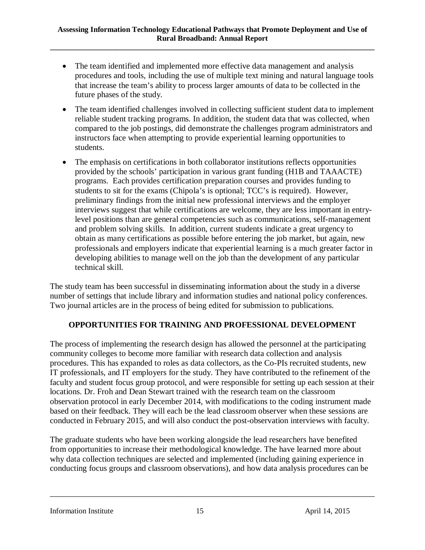- The team identified and implemented more effective data management and analysis procedures and tools, including the use of multiple text mining and natural language tools that increase the team's ability to process larger amounts of data to be collected in the future phases of the study.
- The team identified challenges involved in collecting sufficient student data to implement reliable student tracking programs. In addition, the student data that was collected, when compared to the job postings, did demonstrate the challenges program administrators and instructors face when attempting to provide experiential learning opportunities to students.
- The emphasis on certifications in both collaborator institutions reflects opportunities provided by the schools' participation in various grant funding (H1B and TAAACTE) programs. Each provides certification preparation courses and provides funding to students to sit for the exams (Chipola's is optional; TCC's is required). However, preliminary findings from the initial new professional interviews and the employer interviews suggest that while certifications are welcome, they are less important in entrylevel positions than are general competencies such as communications, self-management and problem solving skills. In addition, current students indicate a great urgency to obtain as many certifications as possible before entering the job market, but again, new professionals and employers indicate that experiential learning is a much greater factor in developing abilities to manage well on the job than the development of any particular technical skill.

The study team has been successful in disseminating information about the study in a diverse number of settings that include library and information studies and national policy conferences. Two journal articles are in the process of being edited for submission to publications.

### **OPPORTUNITIES FOR TRAINING AND PROFESSIONAL DEVELOPMENT**

The process of implementing the research design has allowed the personnel at the participating community colleges to become more familiar with research data collection and analysis procedures. This has expanded to roles as data collectors, as the Co-PIs recruited students, new IT professionals, and IT employers for the study. They have contributed to the refinement of the faculty and student focus group protocol, and were responsible for setting up each session at their locations. Dr. Froh and Dean Stewart trained with the research team on the classroom observation protocol in early December 2014, with modifications to the coding instrument made based on their feedback. They will each be the lead classroom observer when these sessions are conducted in February 2015, and will also conduct the post-observation interviews with faculty.

The graduate students who have been working alongside the lead researchers have benefited from opportunities to increase their methodological knowledge. The have learned more about why data collection techniques are selected and implemented (including gaining experience in conducting focus groups and classroom observations), and how data analysis procedures can be

\_\_\_\_\_\_\_\_\_\_\_\_\_\_\_\_\_\_\_\_\_\_\_\_\_\_\_\_\_\_\_\_\_\_\_\_\_\_\_\_\_\_\_\_\_\_\_\_\_\_\_\_\_\_\_\_\_\_\_\_\_\_\_\_\_\_\_\_\_\_\_\_\_\_\_\_\_\_

Information Institute 15 15 April 14, 2015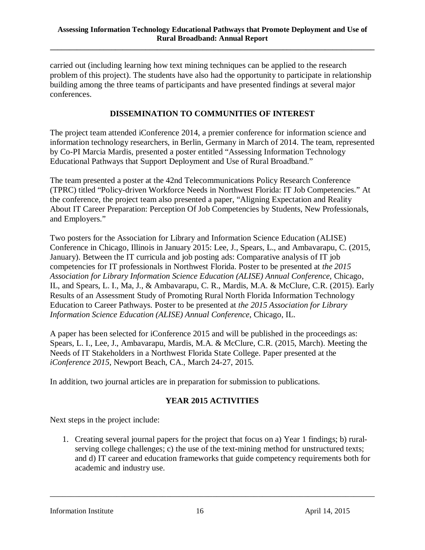carried out (including learning how text mining techniques can be applied to the research problem of this project). The students have also had the opportunity to participate in relationship building among the three teams of participants and have presented findings at several major conferences.

#### **DISSEMINATION TO COMMUNITIES OF INTEREST**

The project team attended iConference 2014, a premier conference for information science and information technology researchers, in Berlin, Germany in March of 2014. The team, represented by Co-PI Marcia Mardis, presented a poster entitled "Assessing Information Technology Educational Pathways that Support Deployment and Use of Rural Broadband."

The team presented a poster at the 42nd Telecommunications Policy Research Conference (TPRC) titled "Policy-driven Workforce Needs in Northwest Florida: IT Job Competencies." At the conference, the project team also presented a paper, "Aligning Expectation and Reality About IT Career Preparation: Perception Of Job Competencies by Students, New Professionals, and Employers."

Two posters for the Association for Library and Information Science Education (ALISE) Conference in Chicago, Illinois in January 2015: Lee, J., Spears, L., and Ambavarapu, C. (2015, January). Between the IT curricula and job posting ads: Comparative analysis of IT job competencies for IT professionals in Northwest Florida. Poster to be presented at *the 2015 Association for Library Information Science Education (ALISE) Annual Conference*, Chicago, IL, and Spears, L. I., Ma, J., & Ambavarapu, C. R., Mardis, M.A. & McClure, C.R. (2015). Early Results of an Assessment Study of Promoting Rural North Florida Information Technology Education to Career Pathways. Poster to be presented at *the 2015 Association for Library Information Science Education (ALISE) Annual Conference*, Chicago, IL.

A paper has been selected for iConference 2015 and will be published in the proceedings as: Spears, L. I., Lee, J., Ambavarapu, Mardis, M.A. & McClure, C.R. (2015, March). Meeting the Needs of IT Stakeholders in a Northwest Florida State College. Paper presented at the *iConference 2015*, Newport Beach, CA., March 24-27, 2015.

In addition, two journal articles are in preparation for submission to publications.

### **YEAR 2015 ACTIVITIES**

Next steps in the project include:

1. Creating several journal papers for the project that focus on a) Year 1 findings; b) ruralserving college challenges; c) the use of the text-mining method for unstructured texts; and d) IT career and education frameworks that guide competency requirements both for academic and industry use.

\_\_\_\_\_\_\_\_\_\_\_\_\_\_\_\_\_\_\_\_\_\_\_\_\_\_\_\_\_\_\_\_\_\_\_\_\_\_\_\_\_\_\_\_\_\_\_\_\_\_\_\_\_\_\_\_\_\_\_\_\_\_\_\_\_\_\_\_\_\_\_\_\_\_\_\_\_\_

Information Institute 16 16 April 14, 2015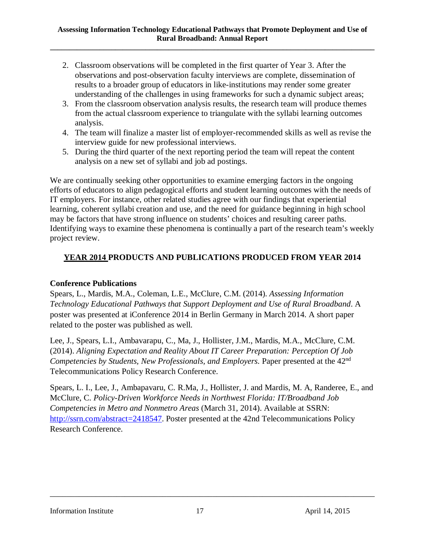- 2. Classroom observations will be completed in the first quarter of Year 3. After the observations and post-observation faculty interviews are complete, dissemination of results to a broader group of educators in like-institutions may render some greater understanding of the challenges in using frameworks for such a dynamic subject areas;
- 3. From the classroom observation analysis results, the research team will produce themes from the actual classroom experience to triangulate with the syllabi learning outcomes analysis.
- 4. The team will finalize a master list of employer-recommended skills as well as revise the interview guide for new professional interviews.
- 5. During the third quarter of the next reporting period the team will repeat the content analysis on a new set of syllabi and job ad postings.

We are continually seeking other opportunities to examine emerging factors in the ongoing efforts of educators to align pedagogical efforts and student learning outcomes with the needs of IT employers. For instance, other related studies agree with our findings that experiential learning, coherent syllabi creation and use, and the need for guidance beginning in high school may be factors that have strong influence on students' choices and resulting career paths. Identifying ways to examine these phenomena is continually a part of the research team's weekly project review.

### **YEAR 2014 PRODUCTS AND PUBLICATIONS PRODUCED FROM YEAR 2014**

### **Conference Publications**

Spears, L., Mardis, M.A., Coleman, L.E., McClure, C.M. (2014). *Assessing Information Technology Educational Pathways that Support Deployment and Use of Rural Broadband*. A poster was presented at iConference 2014 in Berlin Germany in March 2014. A short paper related to the poster was published as well.

Lee, J., Spears, L.I., Ambavarapu, C., Ma, J., Hollister, J.M., Mardis, M.A., McClure, C.M. (2014). *Aligning Expectation and Reality About IT Career Preparation: Perception Of Job Competencies by Students, New Professionals, and Employers.* Paper presented at the 42<sup>nd</sup> Telecommunications Policy Research Conference.

Spears, L. I., Lee, J., Ambapavaru, C. R.Ma, J., Hollister, J. and Mardis, M. A, Randeree, E., and McClure, C. *Policy-Driven Workforce Needs in Northwest Florida: IT/Broadband Job Competencies in Metro and Nonmetro Areas* (March 31, 2014). Available at SSRN: [http://ssrn.com/abstract=2418547.](http://ssrn.com/abstract=2418547) Poster presented at the 42nd Telecommunications Policy Research Conference.

#### Information Institute 17 and 17 april 14, 2015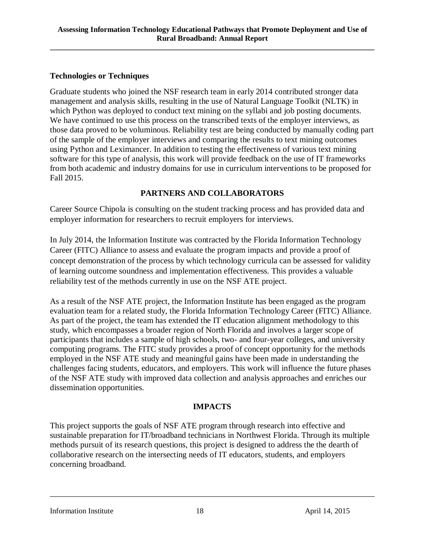#### **Technologies or Techniques**

Graduate students who joined the NSF research team in early 2014 contributed stronger data management and analysis skills, resulting in the use of Natural Language Toolkit (NLTK) in which Python was deployed to conduct text mining on the syllabi and job posting documents. We have continued to use this process on the transcribed texts of the employer interviews, as those data proved to be voluminous. Reliability test are being conducted by manually coding part of the sample of the employer interviews and comparing the results to text mining outcomes using Python and Leximancer. In addition to testing the effectiveness of various text mining software for this type of analysis, this work will provide feedback on the use of IT frameworks from both academic and industry domains for use in curriculum interventions to be proposed for Fall 2015.

### **PARTNERS AND COLLABORATORS**

Career Source Chipola is consulting on the student tracking process and has provided data and employer information for researchers to recruit employers for interviews.

In July 2014, the Information Institute was contracted by the Florida Information Technology Career (FITC) Alliance to assess and evaluate the program impacts and provide a proof of concept demonstration of the process by which technology curricula can be assessed for validity of learning outcome soundness and implementation effectiveness. This provides a valuable reliability test of the methods currently in use on the NSF ATE project.

As a result of the NSF ATE project, the Information Institute has been engaged as the program evaluation team for a related study, the Florida Information Technology Career (FITC) Alliance. As part of the project, the team has extended the IT education alignment methodology to this study, which encompasses a broader region of North Florida and involves a larger scope of participants that includes a sample of high schools, two- and four-year colleges, and university computing programs. The FITC study provides a proof of concept opportunity for the methods employed in the NSF ATE study and meaningful gains have been made in understanding the challenges facing students, educators, and employers. This work will influence the future phases of the NSF ATE study with improved data collection and analysis approaches and enriches our dissemination opportunities.

### **IMPACTS**

This project supports the goals of NSF ATE program through research into effective and sustainable preparation for IT/broadband technicians in Northwest Florida. Through its multiple methods pursuit of its research questions, this project is designed to address the the dearth of collaborative research on the intersecting needs of IT educators, students, and employers concerning broadband.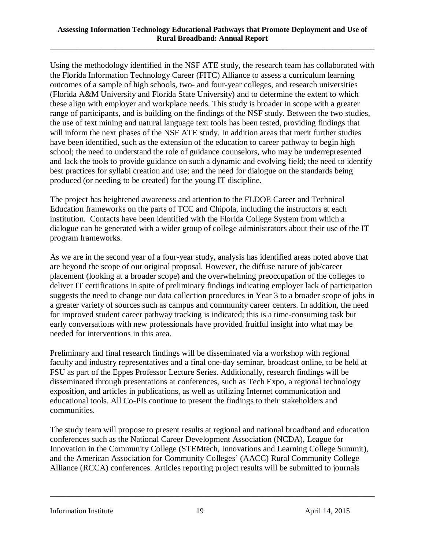Using the methodology identified in the NSF ATE study, the research team has collaborated with the Florida Information Technology Career (FITC) Alliance to assess a curriculum learning outcomes of a sample of high schools, two- and four-year colleges, and research universities (Florida A&M University and Florida State University) and to determine the extent to which these align with employer and workplace needs. This study is broader in scope with a greater range of participants, and is building on the findings of the NSF study. Between the two studies, the use of text mining and natural language text tools has been tested, providing findings that will inform the next phases of the NSF ATE study. In addition areas that merit further studies have been identified, such as the extension of the education to career pathway to begin high school; the need to understand the role of guidance counselors, who may be underrepresented and lack the tools to provide guidance on such a dynamic and evolving field; the need to identify best practices for syllabi creation and use; and the need for dialogue on the standards being produced (or needing to be created) for the young IT discipline.

The project has heightened awareness and attention to the FLDOE Career and Technical Education frameworks on the parts of TCC and Chipola, including the instructors at each institution. Contacts have been identified with the Florida College System from which a dialogue can be generated with a wider group of college administrators about their use of the IT program frameworks.

As we are in the second year of a four-year study, analysis has identified areas noted above that are beyond the scope of our original proposal. However, the diffuse nature of job/career placement (looking at a broader scope) and the overwhelming preoccupation of the colleges to deliver IT certifications in spite of preliminary findings indicating employer lack of participation suggests the need to change our data collection procedures in Year 3 to a broader scope of jobs in a greater variety of sources such as campus and community career centers. In addition, the need for improved student career pathway tracking is indicated; this is a time-consuming task but early conversations with new professionals have provided fruitful insight into what may be needed for interventions in this area.

Preliminary and final research findings will be disseminated via a workshop with regional faculty and industry representatives and a final one-day seminar, broadcast online, to be held at FSU as part of the Eppes Professor Lecture Series. Additionally, research findings will be disseminated through presentations at conferences, such as Tech Expo, a regional technology exposition, and articles in publications, as well as utilizing Internet communication and educational tools. All Co-PIs continue to present the findings to their stakeholders and communities.

The study team will propose to present results at regional and national broadband and education conferences such as the National Career Development Association (NCDA), League for Innovation in the Community College (STEMtech, Innovations and Learning College Summit), and the American Association for Community Colleges' (AACC) Rural Community College Alliance (RCCA) conferences. Articles reporting project results will be submitted to journals

\_\_\_\_\_\_\_\_\_\_\_\_\_\_\_\_\_\_\_\_\_\_\_\_\_\_\_\_\_\_\_\_\_\_\_\_\_\_\_\_\_\_\_\_\_\_\_\_\_\_\_\_\_\_\_\_\_\_\_\_\_\_\_\_\_\_\_\_\_\_\_\_\_\_\_\_\_\_

Information Institute 19 19 April 14, 2015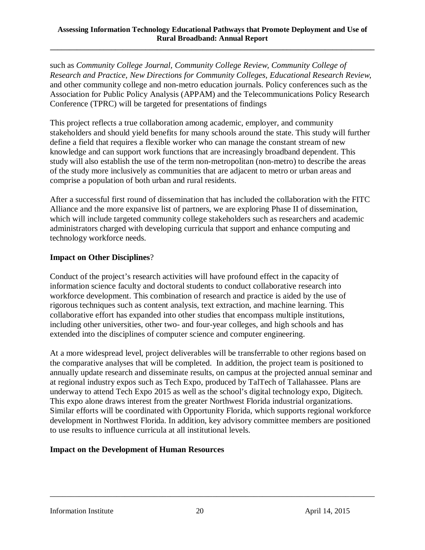such as *Community College Journal, Community College Review, Community College of Research and Practice, New Directions for Community Colleges, Educational Research Review*, and other community college and non-metro education journals. Policy conferences such as the Association for Public Policy Analysis (APPAM) and the Telecommunications Policy Research Conference (TPRC) will be targeted for presentations of findings

This project reflects a true collaboration among academic, employer, and community stakeholders and should yield benefits for many schools around the state. This study will further define a field that requires a flexible worker who can manage the constant stream of new knowledge and can support work functions that are increasingly broadband dependent. This study will also establish the use of the term non-metropolitan (non-metro) to describe the areas of the study more inclusively as communities that are adjacent to metro or urban areas and comprise a population of both urban and rural residents.

After a successful first round of dissemination that has included the collaboration with the FITC Alliance and the more expansive list of partners, we are exploring Phase II of dissemination, which will include targeted community college stakeholders such as researchers and academic administrators charged with developing curricula that support and enhance computing and technology workforce needs.

#### **Impact on Other Disciplines**?

Conduct of the project's research activities will have profound effect in the capacity of information science faculty and doctoral students to conduct collaborative research into workforce development. This combination of research and practice is aided by the use of rigorous techniques such as content analysis, text extraction, and machine learning. This collaborative effort has expanded into other studies that encompass multiple institutions, including other universities, other two- and four-year colleges, and high schools and has extended into the disciplines of computer science and computer engineering.

At a more widespread level, project deliverables will be transferrable to other regions based on the comparative analyses that will be completed. In addition, the project team is positioned to annually update research and disseminate results, on campus at the projected annual seminar and at regional industry expos such as Tech Expo, produced by TalTech of Tallahassee. Plans are underway to attend Tech Expo 2015 as well as the school's digital technology expo, Digitech. This expo alone draws interest from the greater Northwest Florida industrial organizations. Similar efforts will be coordinated with Opportunity Florida, which supports regional workforce development in Northwest Florida. In addition, key advisory committee members are positioned to use results to influence curricula at all institutional levels.

#### **Impact on the Development of Human Resources**

Information Institute 20 April 14, 2015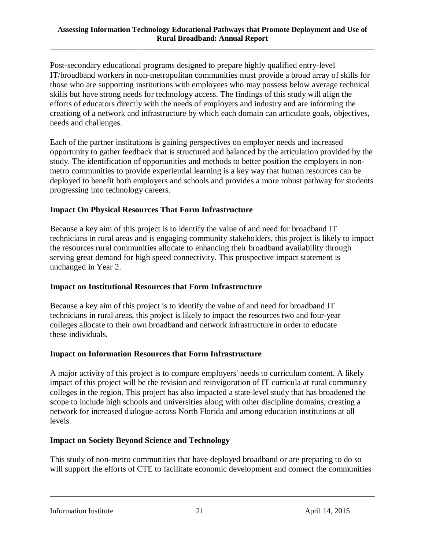Post-secondary educational programs designed to prepare highly qualified entry-level IT/broadband workers in non-metropolitan communities must provide a broad array of skills for those who are supporting institutions with employees who may possess below average technical skills but have strong needs for technology access. The findings of this study will align the efforts of educators directly with the needs of employers and industry and are informing the creationg of a network and infrastructure by which each domain can articulate goals, objectives, needs and challenges.

Each of the partner institutions is gaining perspectives on employer needs and increased opportunity to gather feedback that is structured and balanced by the articulation provided by the study. The identification of opportunities and methods to better position the employers in nonmetro communities to provide experiential learning is a key way that human resources can be deployed to benefit both employers and schools and provides a more robust pathway for students progressing into technology careers.

### **Impact On Physical Resources That Form Infrastructure**

Because a key aim of this project is to identify the value of and need for broadband IT technicians in rural areas and is engaging community stakeholders, this project is likely to impact the resources rural communities allocate to enhancing their broadband availability through serving great demand for high speed connectivity. This prospective impact statement is unchanged in Year 2.

### **Impact on Institutional Resources that Form Infrastructure**

Because a key aim of this project is to identify the value of and need for broadband IT technicians in rural areas, this project is likely to impact the resources two and four-year colleges allocate to their own broadband and network infrastructure in order to educate these individuals.

### **Impact on Information Resources that Form Infrastructure**

A major activity of this project is to compare employers' needs to curriculum content. A likely impact of this project will be the revision and reinvigoration of IT curricula at rural community colleges in the region. This project has also impacted a state-level study that has broadened the scope to include high schools and universities along with other discipline domains, creating a network for increased dialogue across North Florida and among education institutions at all levels.

### **Impact on Society Beyond Science and Technology**

This study of non-metro communities that have deployed broadband or are preparing to do so will support the efforts of CTE to facilitate economic development and connect the communities

\_\_\_\_\_\_\_\_\_\_\_\_\_\_\_\_\_\_\_\_\_\_\_\_\_\_\_\_\_\_\_\_\_\_\_\_\_\_\_\_\_\_\_\_\_\_\_\_\_\_\_\_\_\_\_\_\_\_\_\_\_\_\_\_\_\_\_\_\_\_\_\_\_\_\_\_\_\_

Information Institute 21 April 14, 2015